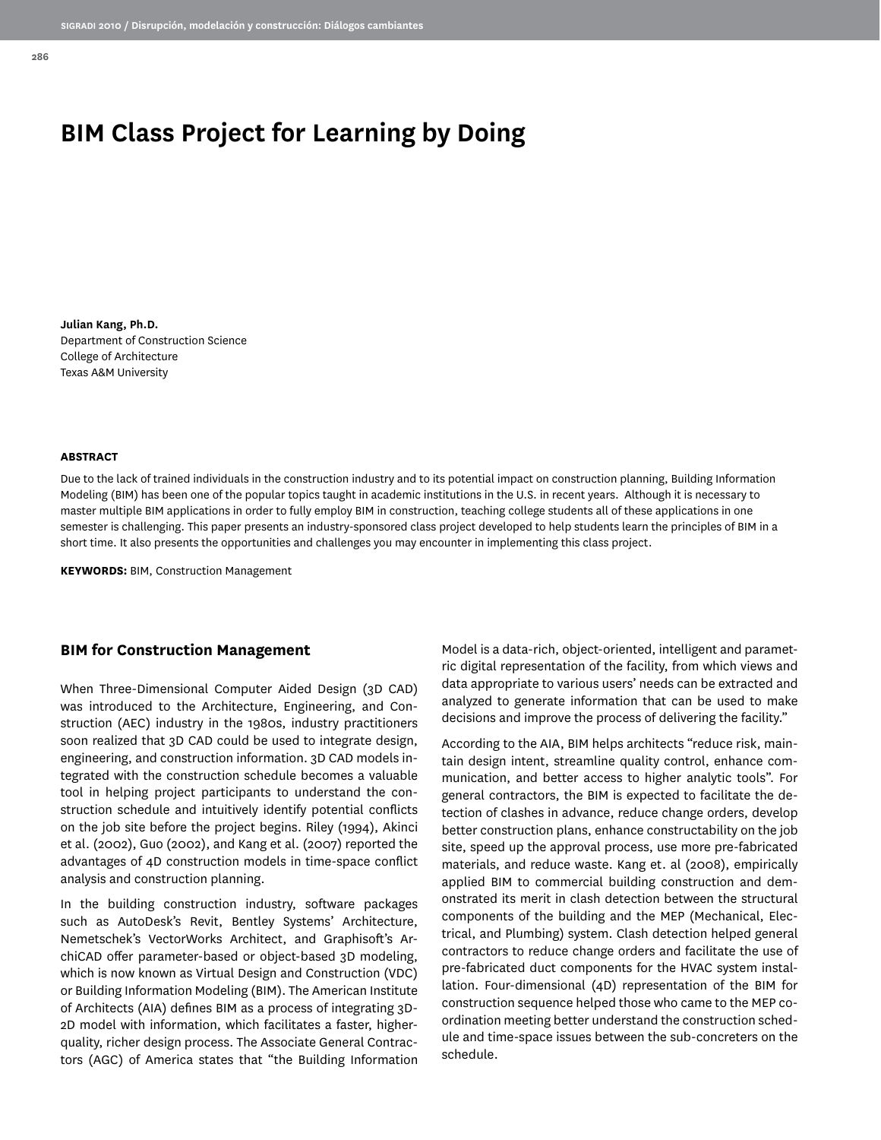# **BIM Class Project for Learning by Doing**

**Julian Kang, Ph.D.** Department of Construction Science College of Architecture Texas A&M University

#### **ABSTRACT**

Due to the lack of trained individuals in the construction industry and to its potential impact on construction planning, Building Information Modeling (BIM) has been one of the popular topics taught in academic institutions in the U.S. in recent years. Although it is necessary to master multiple BIM applications in order to fully employ BIM in construction, teaching college students all of these applications in one semester is challenging. This paper presents an industry-sponsored class project developed to help students learn the principles of BIM in a short time. It also presents the opportunities and challenges you may encounter in implementing this class project.

**KEYWORDS:** BIM, Construction Management

#### **BIM for Construction Management**

When Three-Dimensional Computer Aided Design (3D CAD) was introduced to the Architecture, Engineering, and Construction (AEC) industry in the 1980s, industry practitioners soon realized that 3D CAD could be used to integrate design, engineering, and construction information. 3D CAD models integrated with the construction schedule becomes a valuable tool in helping project participants to understand the construction schedule and intuitively identify potential conflicts on the job site before the project begins. Riley (1994), Akinci et al. (2002), Guo (2002), and Kang et al. (2007) reported the advantages of 4D construction models in time-space conflict analysis and construction planning.

In the building construction industry, software packages such as AutoDesk's Revit, Bentley Systems' Architecture, Nemetschek's VectorWorks Architect, and Graphisoft's ArchiCAD offer parameter-based or object-based 3D modeling, which is now known as Virtual Design and Construction (VDC) or Building Information Modeling (BIM). The American Institute of Architects (AIA) defines BIM as a process of integrating 3D-2D model with information, which facilitates a faster, higherquality, richer design process. The Associate General Contractors (AGC) of America states that "the Building Information Model is a data-rich, object-oriented, intelligent and parametric digital representation of the facility, from which views and data appropriate to various users' needs can be extracted and analyzed to generate information that can be used to make decisions and improve the process of delivering the facility."

According to the AIA, BIM helps architects "reduce risk, maintain design intent, streamline quality control, enhance communication, and better access to higher analytic tools". For general contractors, the BIM is expected to facilitate the detection of clashes in advance, reduce change orders, develop better construction plans, enhance constructability on the job site, speed up the approval process, use more pre-fabricated materials, and reduce waste. Kang et. al (2008), empirically applied BIM to commercial building construction and demonstrated its merit in clash detection between the structural components of the building and the MEP (Mechanical, Electrical, and Plumbing) system. Clash detection helped general contractors to reduce change orders and facilitate the use of pre-fabricated duct components for the HVAC system installation. Four-dimensional (4D) representation of the BIM for construction sequence helped those who came to the MEP coordination meeting better understand the construction schedule and time-space issues between the sub-concreters on the schedule.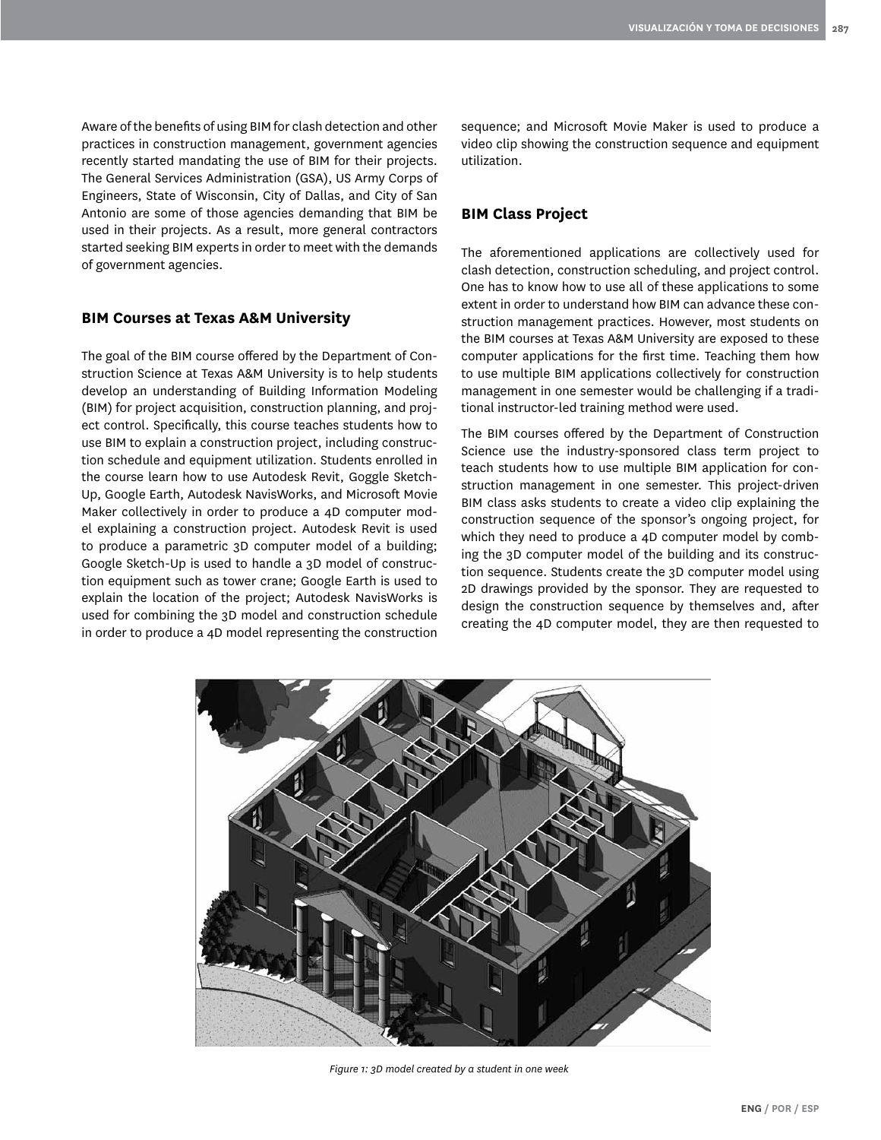Aware of the benefits of using BIM for clash detection and other practices in construction management, government agencies recently started mandating the use of BIM for their projects. The General Services Administration (GSA), US Army Corps of Engineers, State of Wisconsin, City of Dallas, and City of San Antonio are some of those agencies demanding that BIM be used in their projects. As a result, more general contractors started seeking BIM experts in order to meet with the demands of government agencies.

#### **BIM Courses at Texas A&M University**

The goal of the BIM course offered by the Department of Construction Science at Texas A&M University is to help students develop an understanding of Building Information Modeling (BIM) for project acquisition, construction planning, and project control. Specifically, this course teaches students how to use BIM to explain a construction project, including construction schedule and equipment utilization. Students enrolled in the course learn how to use Autodesk Revit, Goggle Sketch-Up, Google Earth, Autodesk NavisWorks, and Microsoft Movie Maker collectively in order to produce a 4D computer model explaining a construction project. Autodesk Revit is used to produce a parametric 3D computer model of a building; Google Sketch-Up is used to handle a 3D model of construction equipment such as tower crane; Google Earth is used to explain the location of the project; Autodesk NavisWorks is used for combining the 3D model and construction schedule in order to produce a 4D model representing the construction sequence; and Microsoft Movie Maker is used to produce a video clip showing the construction sequence and equipment utilization.

## **BIM Class Project**

The aforementioned applications are collectively used for clash detection, construction scheduling, and project control. One has to know how to use all of these applications to some extent in order to understand how BIM can advance these construction management practices. However, most students on the BIM courses at Texas A&M University are exposed to these computer applications for the first time. Teaching them how to use multiple BIM applications collectively for construction management in one semester would be challenging if a traditional instructor-led training method were used.

The BIM courses offered by the Department of Construction Science use the industry-sponsored class term project to teach students how to use multiple BIM application for construction management in one semester. This project-driven BIM class asks students to create a video clip explaining the construction sequence of the sponsor's ongoing project, for which they need to produce a 4D computer model by combing the 3D computer model of the building and its construction sequence. Students create the 3D computer model using 2D drawings provided by the sponsor. They are requested to design the construction sequence by themselves and, after creating the 4D computer model, they are then requested to



*Figure 1: 3D model created by a student in one week*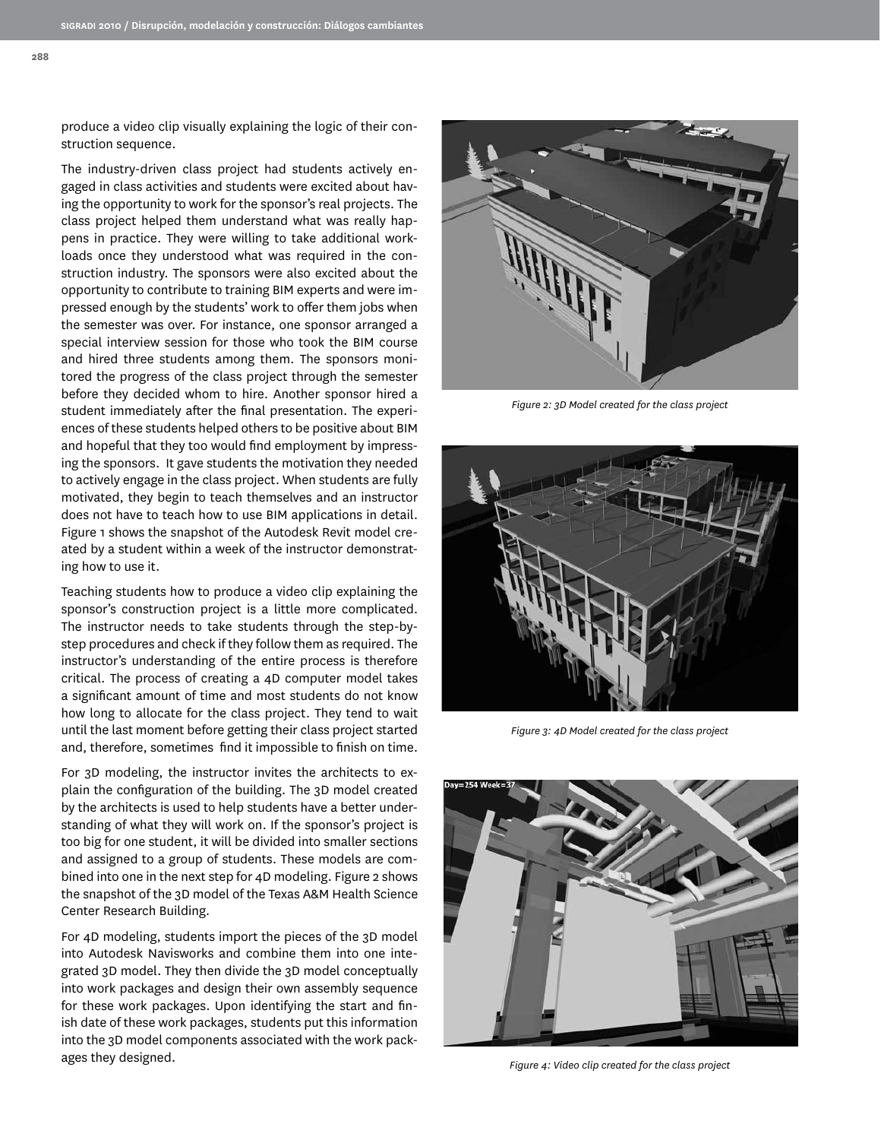**288**

produce a video clip visually explaining the logic of their construction sequence.

The industry-driven class project had students actively engaged in class activities and students were excited about having the opportunity to work for the sponsor's real projects. The class project helped them understand what was really happens in practice. They were willing to take additional workloads once they understood what was required in the construction industry. The sponsors were also excited about the opportunity to contribute to training BIM experts and were impressed enough by the students' work to offer them jobs when the semester was over. For instance, one sponsor arranged a special interview session for those who took the BIM course and hired three students among them. The sponsors monitored the progress of the class project through the semester before they decided whom to hire. Another sponsor hired a student immediately after the final presentation. The experiences of these students helped others to be positive about BIM and hopeful that they too would find employment by impressing the sponsors. It gave students the motivation they needed to actively engage in the class project. When students are fully motivated, they begin to teach themselves and an instructor does not have to teach how to use BIM applications in detail. Figure 1 shows the snapshot of the Autodesk Revit model created by a student within a week of the instructor demonstrating how to use it.

Teaching students how to produce a video clip explaining the sponsor's construction project is a little more complicated. The instructor needs to take students through the step-bystep procedures and check if they follow them as required. The instructor's understanding of the entire process is therefore critical. The process of creating a 4D computer model takes a significant amount of time and most students do not know how long to allocate for the class project. They tend to wait until the last moment before getting their class project started and, therefore, sometimes find it impossible to finish on time.

For 3D modeling, the instructor invites the architects to explain the configuration of the building. The 3D model created by the architects is used to help students have a better understanding of what they will work on. If the sponsor's project is too big for one student, it will be divided into smaller sections and assigned to a group of students. These models are combined into one in the next step for 4D modeling. Figure 2 shows the snapshot of the 3D model of the Texas A&M Health Science Center Research Building.

For 4D modeling, students import the pieces of the 3D model into Autodesk Navisworks and combine them into one integrated 3D model. They then divide the 3D model conceptually into work packages and design their own assembly sequence for these work packages. Upon identifying the start and finish date of these work packages, students put this information into the 3D model components associated with the work packages they designed.



*Figure 2: 3D Model created for the class project*



*Figure 3: 4D Model created for the class project*



*Figure 4: Video clip created for the class project*